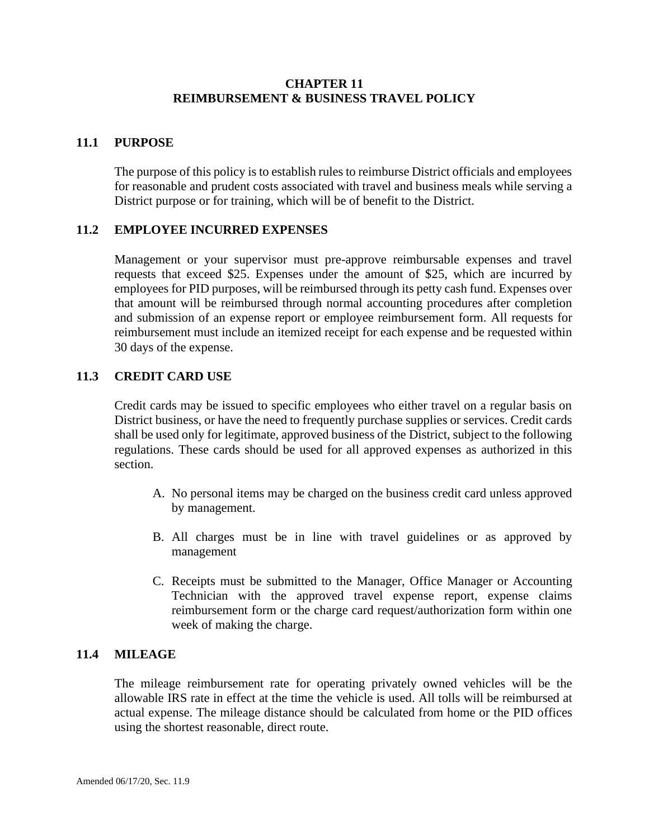### **CHAPTER 11 REIMBURSEMENT & BUSINESS TRAVEL POLICY**

# **11.1 PURPOSE**

The purpose of this policy is to establish rules to reimburse District officials and employees for reasonable and prudent costs associated with travel and business meals while serving a District purpose or for training, which will be of benefit to the District.

### **11.2 EMPLOYEE INCURRED EXPENSES**

Management or your supervisor must pre-approve reimbursable expenses and travel requests that exceed \$25. Expenses under the amount of \$25, which are incurred by employees for PID purposes, will be reimbursed through its petty cash fund. Expenses over that amount will be reimbursed through normal accounting procedures after completion and submission of an expense report or employee reimbursement form. All requests for reimbursement must include an itemized receipt for each expense and be requested within 30 days of the expense.

## **11.3 CREDIT CARD USE**

Credit cards may be issued to specific employees who either travel on a regular basis on District business, or have the need to frequently purchase supplies or services. Credit cards shall be used only for legitimate, approved business of the District, subject to the following regulations. These cards should be used for all approved expenses as authorized in this section.

- A. No personal items may be charged on the business credit card unless approved by management.
- B. All charges must be in line with travel guidelines or as approved by management
- C. Receipts must be submitted to the Manager, Office Manager or Accounting Technician with the approved travel expense report, expense claims reimbursement form or the charge card request/authorization form within one week of making the charge.

### **11.4 MILEAGE**

The mileage reimbursement rate for operating privately owned vehicles will be the allowable IRS rate in effect at the time the vehicle is used. All tolls will be reimbursed at actual expense. The mileage distance should be calculated from home or the PID offices using the shortest reasonable, direct route.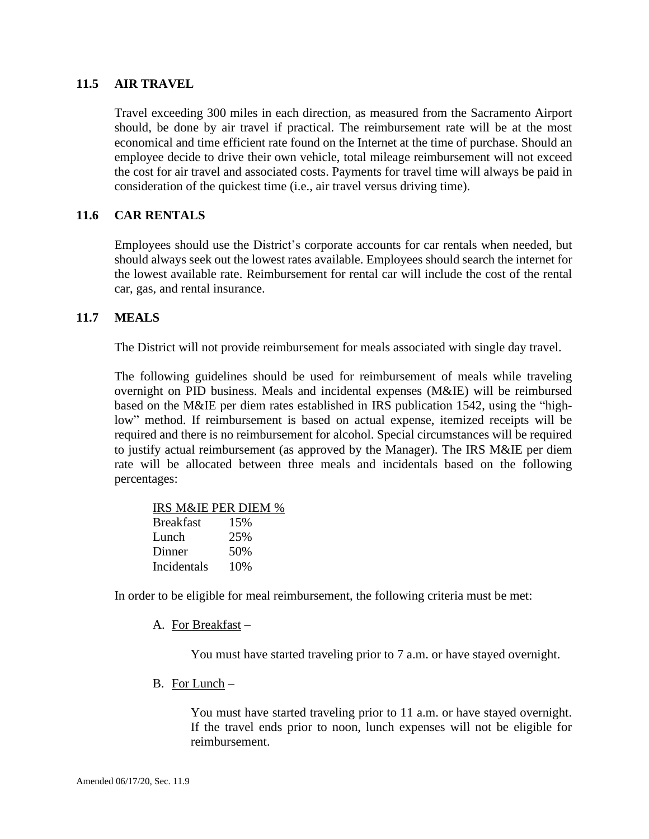#### **11.5 AIR TRAVEL**

Travel exceeding 300 miles in each direction, as measured from the Sacramento Airport should, be done by air travel if practical. The reimbursement rate will be at the most economical and time efficient rate found on the Internet at the time of purchase. Should an employee decide to drive their own vehicle, total mileage reimbursement will not exceed the cost for air travel and associated costs. Payments for travel time will always be paid in consideration of the quickest time (i.e., air travel versus driving time).

### **11.6 CAR RENTALS**

Employees should use the District's corporate accounts for car rentals when needed, but should always seek out the lowest rates available. Employees should search the internet for the lowest available rate. Reimbursement for rental car will include the cost of the rental car, gas, and rental insurance.

#### **11.7 MEALS**

The District will not provide reimbursement for meals associated with single day travel.

The following guidelines should be used for reimbursement of meals while traveling overnight on PID business. Meals and incidental expenses (M&IE) will be reimbursed based on the M&IE per diem rates established in IRS publication 1542, using the "highlow" method. If reimbursement is based on actual expense, itemized receipts will be required and there is no reimbursement for alcohol. Special circumstances will be required to justify actual reimbursement (as approved by the Manager). The IRS M&IE per diem rate will be allocated between three meals and incidentals based on the following percentages:

|                  | IRS M&IE PER DIEM % |  |
|------------------|---------------------|--|
| <b>Breakfast</b> | 15%                 |  |
| Lunch            | 25%                 |  |
| Dinner           | 50%                 |  |
| Incidentals      | 10%                 |  |

In order to be eligible for meal reimbursement, the following criteria must be met:

A. For Breakfast –

You must have started traveling prior to 7 a.m. or have stayed overnight.

B. For Lunch –

You must have started traveling prior to 11 a.m. or have stayed overnight. If the travel ends prior to noon, lunch expenses will not be eligible for reimbursement.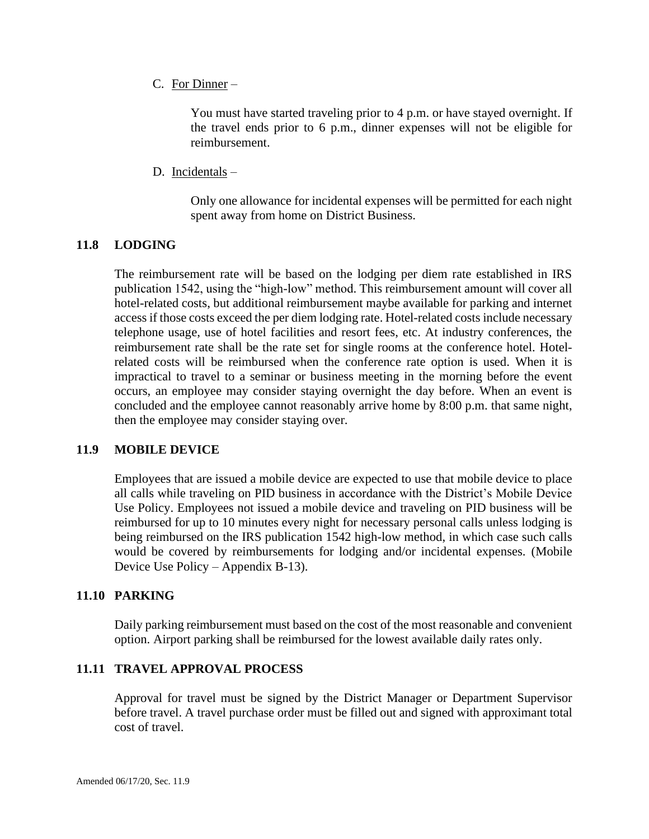C. For Dinner –

You must have started traveling prior to 4 p.m. or have stayed overnight. If the travel ends prior to 6 p.m., dinner expenses will not be eligible for reimbursement.

D. Incidentals –

Only one allowance for incidental expenses will be permitted for each night spent away from home on District Business.

## **11.8 LODGING**

The reimbursement rate will be based on the lodging per diem rate established in IRS publication 1542, using the "high-low" method. This reimbursement amount will cover all hotel-related costs, but additional reimbursement maybe available for parking and internet access if those costs exceed the per diem lodging rate. Hotel-related costs include necessary telephone usage, use of hotel facilities and resort fees, etc. At industry conferences, the reimbursement rate shall be the rate set for single rooms at the conference hotel. Hotelrelated costs will be reimbursed when the conference rate option is used. When it is impractical to travel to a seminar or business meeting in the morning before the event occurs, an employee may consider staying overnight the day before. When an event is concluded and the employee cannot reasonably arrive home by 8:00 p.m. that same night, then the employee may consider staying over.

### **11.9 MOBILE DEVICE**

Employees that are issued a mobile device are expected to use that mobile device to place all calls while traveling on PID business in accordance with the District's Mobile Device Use Policy. Employees not issued a mobile device and traveling on PID business will be reimbursed for up to 10 minutes every night for necessary personal calls unless lodging is being reimbursed on the IRS publication 1542 high-low method, in which case such calls would be covered by reimbursements for lodging and/or incidental expenses. (Mobile Device Use Policy – Appendix B-13).

### **11.10 PARKING**

Daily parking reimbursement must based on the cost of the most reasonable and convenient option. Airport parking shall be reimbursed for the lowest available daily rates only.

### **11.11 TRAVEL APPROVAL PROCESS**

Approval for travel must be signed by the District Manager or Department Supervisor before travel. A travel purchase order must be filled out and signed with approximant total cost of travel.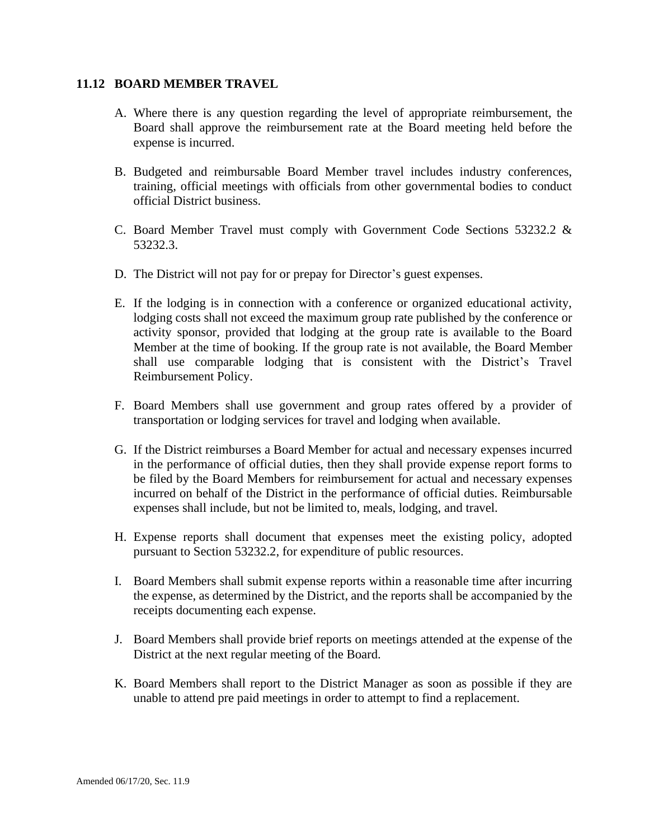#### **11.12 BOARD MEMBER TRAVEL**

- A. Where there is any question regarding the level of appropriate reimbursement, the Board shall approve the reimbursement rate at the Board meeting held before the expense is incurred.
- B. Budgeted and reimbursable Board Member travel includes industry conferences, training, official meetings with officials from other governmental bodies to conduct official District business.
- C. Board Member Travel must comply with Government Code Sections 53232.2 & 53232.3.
- D. The District will not pay for or prepay for Director's guest expenses.
- E. If the lodging is in connection with a conference or organized educational activity, lodging costs shall not exceed the maximum group rate published by the conference or activity sponsor, provided that lodging at the group rate is available to the Board Member at the time of booking. If the group rate is not available, the Board Member shall use comparable lodging that is consistent with the District's Travel Reimbursement Policy.
- F. Board Members shall use government and group rates offered by a provider of transportation or lodging services for travel and lodging when available.
- G. If the District reimburses a Board Member for actual and necessary expenses incurred in the performance of official duties, then they shall provide expense report forms to be filed by the Board Members for reimbursement for actual and necessary expenses incurred on behalf of the District in the performance of official duties. Reimbursable expenses shall include, but not be limited to, meals, lodging, and travel.
- H. Expense reports shall document that expenses meet the existing policy, adopted pursuant to Section 53232.2, for expenditure of public resources.
- I. Board Members shall submit expense reports within a reasonable time after incurring the expense, as determined by the District, and the reports shall be accompanied by the receipts documenting each expense.
- J. Board Members shall provide brief reports on meetings attended at the expense of the District at the next regular meeting of the Board.
- K. Board Members shall report to the District Manager as soon as possible if they are unable to attend pre paid meetings in order to attempt to find a replacement.